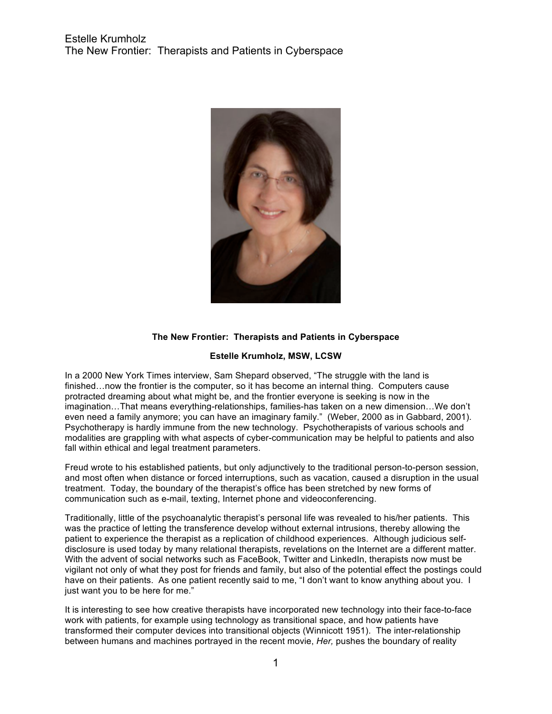

#### **The New Frontier: Therapists and Patients in Cyberspace**

#### **Estelle Krumholz, MSW, LCSW**

In a 2000 New York Times interview, Sam Shepard observed, "The struggle with the land is finished...now the frontier is the computer, so it has become an internal thing. Computers cause protracted dreaming about what might be, and the frontier everyone is seeking is now in the imagination…That means everything-relationships, families-has taken on a new dimension…We don't even need a family anymore; you can have an imaginary family." (Weber, 2000 as in Gabbard, 2001). Psychotherapy is hardly immune from the new technology. Psychotherapists of various schools and modalities are grappling with what aspects of cyber-communication may be helpful to patients and also fall within ethical and legal treatment parameters.

Freud wrote to his established patients, but only adjunctively to the traditional person-to-person session, and most often when distance or forced interruptions, such as vacation, caused a disruption in the usual treatment. Today, the boundary of the therapist's office has been stretched by new forms of communication such as e-mail, texting, Internet phone and videoconferencing.

Traditionally, little of the psychoanalytic therapist's personal life was revealed to his/her patients. This was the practice of letting the transference develop without external intrusions, thereby allowing the patient to experience the therapist as a replication of childhood experiences. Although judicious selfdisclosure is used today by many relational therapists, revelations on the Internet are a different matter. With the advent of social networks such as FaceBook, Twitter and LinkedIn, therapists now must be vigilant not only of what they post for friends and family, but also of the potential effect the postings could have on their patients. As one patient recently said to me, "I don't want to know anything about you. I just want you to be here for me."

It is interesting to see how creative therapists have incorporated new technology into their face-to-face work with patients, for example using technology as transitional space, and how patients have transformed their computer devices into transitional objects (Winnicott 1951). The inter-relationship between humans and machines portrayed in the recent movie, *Her,* pushes the boundary of reality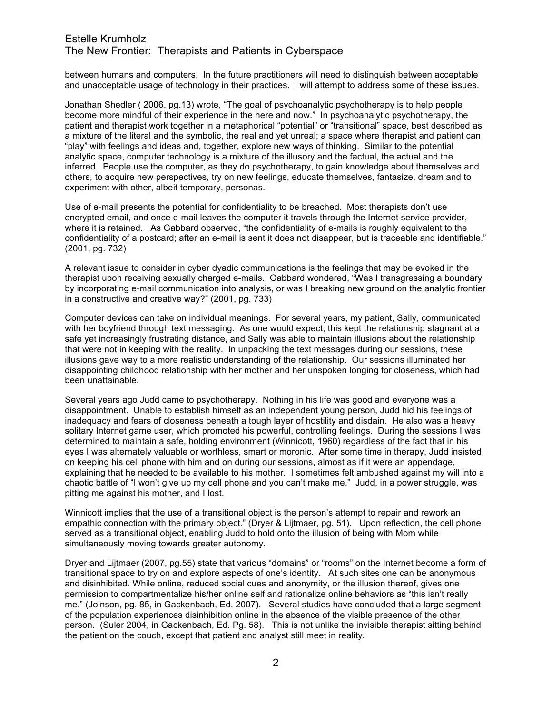# Estelle Krumholz The New Frontier: Therapists and Patients in Cyberspace

between humans and computers. In the future practitioners will need to distinguish between acceptable and unacceptable usage of technology in their practices. I will attempt to address some of these issues.

Jonathan Shedler ( 2006, pg.13) wrote, "The goal of psychoanalytic psychotherapy is to help people become more mindful of their experience in the here and now." In psychoanalytic psychotherapy, the patient and therapist work together in a metaphorical "potential" or "transitional" space, best described as a mixture of the literal and the symbolic, the real and yet unreal; a space where therapist and patient can "play" with feelings and ideas and, together, explore new ways of thinking. Similar to the potential analytic space, computer technology is a mixture of the illusory and the factual, the actual and the inferred. People use the computer, as they do psychotherapy, to gain knowledge about themselves and others, to acquire new perspectives, try on new feelings, educate themselves, fantasize, dream and to experiment with other, albeit temporary, personas.

Use of e-mail presents the potential for confidentiality to be breached. Most therapists don't use encrypted email, and once e-mail leaves the computer it travels through the Internet service provider, where it is retained. As Gabbard observed, "the confidentiality of e-mails is roughly equivalent to the confidentiality of a postcard; after an e-mail is sent it does not disappear, but is traceable and identifiable." (2001, pg. 732)

A relevant issue to consider in cyber dyadic communications is the feelings that may be evoked in the therapist upon receiving sexually charged e-mails. Gabbard wondered, "Was I transgressing a boundary by incorporating e-mail communication into analysis, or was I breaking new ground on the analytic frontier in a constructive and creative way?" (2001, pg. 733)

Computer devices can take on individual meanings. For several years, my patient, Sally, communicated with her boyfriend through text messaging. As one would expect, this kept the relationship stagnant at a safe yet increasingly frustrating distance, and Sally was able to maintain illusions about the relationship that were not in keeping with the reality. In unpacking the text messages during our sessions, these illusions gave way to a more realistic understanding of the relationship. Our sessions illuminated her disappointing childhood relationship with her mother and her unspoken longing for closeness, which had been unattainable.

Several years ago Judd came to psychotherapy. Nothing in his life was good and everyone was a disappointment. Unable to establish himself as an independent young person, Judd hid his feelings of inadequacy and fears of closeness beneath a tough layer of hostility and disdain. He also was a heavy solitary Internet game user, which promoted his powerful, controlling feelings. During the sessions I was determined to maintain a safe, holding environment (Winnicott, 1960) regardless of the fact that in his eyes I was alternately valuable or worthless, smart or moronic. After some time in therapy, Judd insisted on keeping his cell phone with him and on during our sessions, almost as if it were an appendage, explaining that he needed to be available to his mother. I sometimes felt ambushed against my will into a chaotic battle of "I won't give up my cell phone and you can't make me." Judd, in a power struggle, was pitting me against his mother, and I lost.

Winnicott implies that the use of a transitional object is the person's attempt to repair and rework an empathic connection with the primary object." (Dryer & Lijtmaer, pg. 51). Upon reflection, the cell phone served as a transitional object, enabling Judd to hold onto the illusion of being with Mom while simultaneously moving towards greater autonomy.

Dryer and Lijtmaer (2007, pg.55) state that various "domains" or "rooms" on the Internet become a form of transitional space to try on and explore aspects of one's identity. At such sites one can be anonymous and disinhibited. While online, reduced social cues and anonymity, or the illusion thereof, gives one permission to compartmentalize his/her online self and rationalize online behaviors as "this isn't really me." (Joinson, pg. 85, in Gackenbach, Ed. 2007). Several studies have concluded that a large segment of the population experiences disinhibition online in the absence of the visible presence of the other person. (Suler 2004, in Gackenbach, Ed. Pg. 58). This is not unlike the invisible therapist sitting behind the patient on the couch, except that patient and analyst still meet in reality.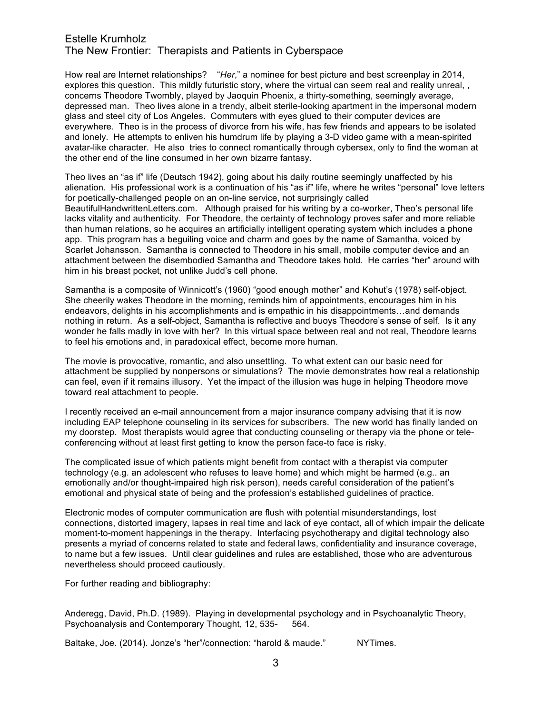# Estelle Krumholz The New Frontier: Therapists and Patients in Cyberspace

How real are Internet relationships? "*Her*," a nominee for best picture and best screenplay in 2014, explores this question. This mildly futuristic story, where the virtual can seem real and reality unreal, , concerns Theodore Twombly, played by Jaoquin Phoenix, a thirty-something, seemingly average, depressed man. Theo lives alone in a trendy, albeit sterile-looking apartment in the impersonal modern glass and steel city of Los Angeles. Commuters with eyes glued to their computer devices are everywhere. Theo is in the process of divorce from his wife, has few friends and appears to be isolated and lonely. He attempts to enliven his humdrum life by playing a 3-D video game with a mean-spirited avatar-like character. He also tries to connect romantically through cybersex, only to find the woman at the other end of the line consumed in her own bizarre fantasy.

Theo lives an "as if" life (Deutsch 1942), going about his daily routine seemingly unaffected by his alienation. His professional work is a continuation of his "as if" life, where he writes "personal" love letters for poetically-challenged people on an on-line service, not surprisingly called BeautifulHandwrittenLetters.com. Although praised for his writing by a co-worker, Theo's personal life lacks vitality and authenticity. For Theodore, the certainty of technology proves safer and more reliable than human relations, so he acquires an artificially intelligent operating system which includes a phone app. This program has a beguiling voice and charm and goes by the name of Samantha, voiced by Scarlet Johansson. Samantha is connected to Theodore in his small, mobile computer device and an attachment between the disembodied Samantha and Theodore takes hold. He carries "her" around with him in his breast pocket, not unlike Judd's cell phone.

Samantha is a composite of Winnicott's (1960) "good enough mother" and Kohut's (1978) self-object. She cheerily wakes Theodore in the morning, reminds him of appointments, encourages him in his endeavors, delights in his accomplishments and is empathic in his disappointments…and demands nothing in return. As a self-object, Samantha is reflective and buoys Theodore's sense of self. Is it any wonder he falls madly in love with her? In this virtual space between real and not real, Theodore learns to feel his emotions and, in paradoxical effect, become more human.

The movie is provocative, romantic, and also unsettling. To what extent can our basic need for attachment be supplied by nonpersons or simulations? The movie demonstrates how real a relationship can feel, even if it remains illusory. Yet the impact of the illusion was huge in helping Theodore move toward real attachment to people.

I recently received an e-mail announcement from a major insurance company advising that it is now including EAP telephone counseling in its services for subscribers. The new world has finally landed on my doorstep. Most therapists would agree that conducting counseling or therapy via the phone or teleconferencing without at least first getting to know the person face-to face is risky.

The complicated issue of which patients might benefit from contact with a therapist via computer technology (e.g. an adolescent who refuses to leave home) and which might be harmed (e.g.. an emotionally and/or thought-impaired high risk person), needs careful consideration of the patient's emotional and physical state of being and the profession's established guidelines of practice.

Electronic modes of computer communication are flush with potential misunderstandings, lost connections, distorted imagery, lapses in real time and lack of eye contact, all of which impair the delicate moment-to-moment happenings in the therapy. Interfacing psychotherapy and digital technology also presents a myriad of concerns related to state and federal laws, confidentiality and insurance coverage, to name but a few issues. Until clear guidelines and rules are established, those who are adventurous nevertheless should proceed cautiously.

For further reading and bibliography:

Anderegg, David, Ph.D. (1989). Playing in developmental psychology and in Psychoanalytic Theory, Psychoanalysis and Contemporary Thought, 12, 535- 564.

Baltake, Joe. (2014). Jonze's "her"/connection: "harold & maude." NYTimes.